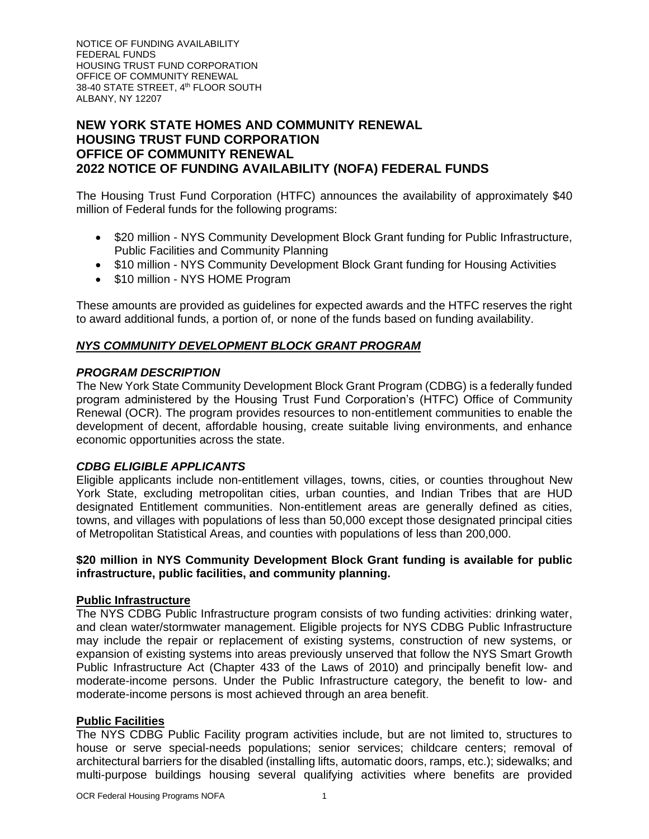NOTICE OF FUNDING AVAILABILITY FEDERAL FUNDS HOUSING TRUST FUND CORPORATION OFFICE OF COMMUNITY RENEWAL 38-40 STATE STREET, 4th FLOOR SOUTH ALBANY, NY 12207

# **NEW YORK STATE HOMES AND COMMUNITY RENEWAL HOUSING TRUST FUND CORPORATION OFFICE OF COMMUNITY RENEWAL 2022 NOTICE OF FUNDING AVAILABILITY (NOFA) FEDERAL FUNDS**

The Housing Trust Fund Corporation (HTFC) announces the availability of approximately \$40 million of Federal funds for the following programs:

- \$20 million NYS Community Development Block Grant funding for Public Infrastructure, Public Facilities and Community Planning
- \$10 million NYS Community Development Block Grant funding for Housing Activities
- \$10 million NYS HOME Program

These amounts are provided as guidelines for expected awards and the HTFC reserves the right to award additional funds, a portion of, or none of the funds based on funding availability.

## *NYS COMMUNITY DEVELOPMENT BLOCK GRANT PROGRAM*

### *PROGRAM DESCRIPTION*

The New York State Community Development Block Grant Program (CDBG) is a federally funded program administered by the Housing Trust Fund Corporation's (HTFC) Office of Community Renewal (OCR). The program provides resources to non-entitlement communities to enable the development of decent, affordable housing, create suitable living environments, and enhance economic opportunities across the state.

### *CDBG ELIGIBLE APPLICANTS*

Eligible applicants include non-entitlement villages, towns, cities, or counties throughout New York State, excluding metropolitan cities, urban counties, and Indian Tribes that are HUD designated Entitlement communities. Non-entitlement areas are generally defined as cities, towns, and villages with populations of less than 50,000 except those designated principal cities of Metropolitan Statistical Areas, and counties with populations of less than 200,000.

### **\$20 million in NYS Community Development Block Grant funding is available for public infrastructure, public facilities, and community planning.**

### **Public Infrastructure**

The NYS CDBG Public Infrastructure program consists of two funding activities: drinking water, and clean water/stormwater management. Eligible projects for NYS CDBG Public Infrastructure may include the repair or replacement of existing systems, construction of new systems, or expansion of existing systems into areas previously unserved that follow the NYS Smart Growth Public Infrastructure Act (Chapter 433 of the Laws of 2010) and principally benefit low- and moderate-income persons. Under the Public Infrastructure category, the benefit to low- and moderate-income persons is most achieved through an area benefit.

# **Public Facilities**

The NYS CDBG Public Facility program activities include, but are not limited to, structures to house or serve special-needs populations; senior services; childcare centers; removal of architectural barriers for the disabled (installing lifts, automatic doors, ramps, etc.); sidewalks; and multi-purpose buildings housing several qualifying activities where benefits are provided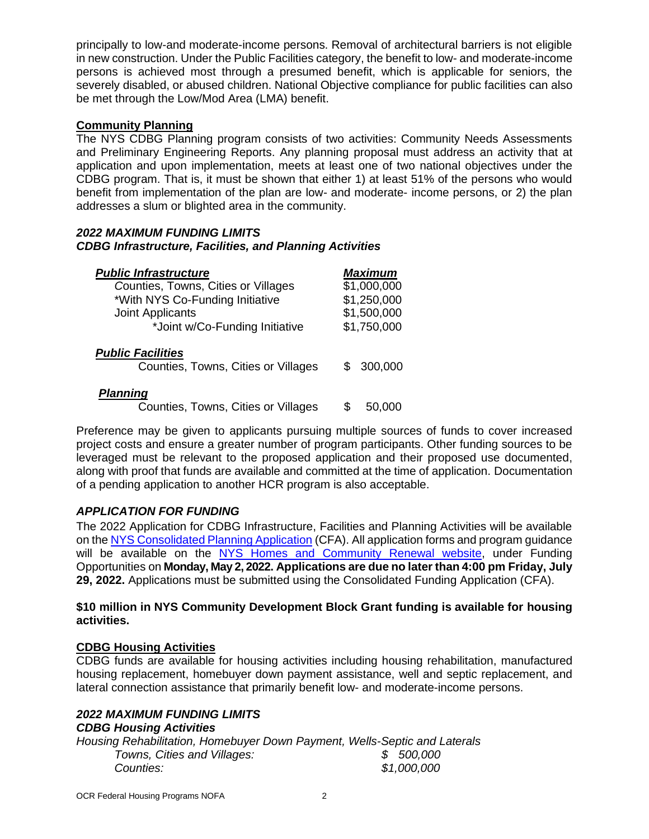principally to low-and moderate-income persons. Removal of architectural barriers is not eligible in new construction. Under the Public Facilities category, the benefit to low- and moderate-income persons is achieved most through a presumed benefit, which is applicable for seniors, the severely disabled, or abused children. National Objective compliance for public facilities can also be met through the Low/Mod Area (LMA) benefit.

# **Community Planning**

The NYS CDBG Planning program consists of two activities: Community Needs Assessments and Preliminary Engineering Reports. Any planning proposal must address an activity that at application and upon implementation, meets at least one of two national objectives under the CDBG program. That is, it must be shown that either 1) at least 51% of the persons who would benefit from implementation of the plan are low- and moderate- income persons, or 2) the plan addresses a slum or blighted area in the community.

### *2022 MAXIMUM FUNDING LIMITS CDBG Infrastructure, Facilities, and Planning Activities*

| <b>Public Infrastructure</b>                                    | <b>Maximum</b> |
|-----------------------------------------------------------------|----------------|
| Counties, Towns, Cities or Villages                             | \$1,000,000    |
| *With NYS Co-Funding Initiative                                 | \$1,250,000    |
| Joint Applicants                                                | \$1,500,000    |
| *Joint w/Co-Funding Initiative                                  | \$1,750,000    |
| <b>Public Facilities</b><br>Counties, Towns, Cities or Villages | 300,000        |
| <b>Planning</b><br>Counties, Towns, Cities or Villages          | 50.000         |

Preference may be given to applicants pursuing multiple sources of funds to cover increased project costs and ensure a greater number of program participants. Other funding sources to be leveraged must be relevant to the proposed application and their proposed use documented, along with proof that funds are available and committed at the time of application. Documentation of a pending application to another HCR program is also acceptable.

## *APPLICATION FOR FUNDING*

The 2022 Application for CDBG Infrastructure, Facilities and Planning Activities will be available on th[e NYS Consolidated Planning Application](https://apps.cio.ny.gov/apps/cfa/) (CFA). All application forms and program guidance will be available on the [NYS Homes and Community Renewal website,](https://hcr.ny.gov/community-development-block-grant) under Funding Opportunities on **Monday, May 2, 2022. Applications are due no later than 4:00 pm Friday, July 29, 2022.** Applications must be submitted using the Consolidated Funding Application (CFA).

### **\$10 million in NYS Community Development Block Grant funding is available for housing activities.**

## **CDBG Housing Activities**

CDBG funds are available for housing activities including housing rehabilitation, manufactured housing replacement, homebuyer down payment assistance, well and septic replacement, and lateral connection assistance that primarily benefit low- and moderate-income persons.

# *2022 MAXIMUM FUNDING LIMITS*

## *CDBG Housing Activities*

*Housing Rehabilitation, Homebuyer Down Payment, Wells-Septic and Laterals Towns, Cities and Villages: \$ 500,000 Counties: \$1,000,000*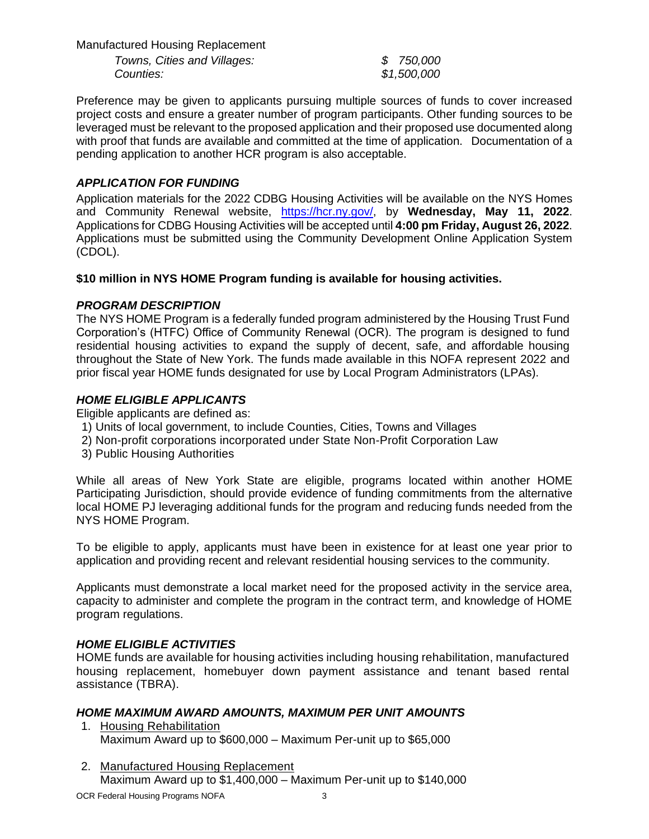Manufactured Housing Replacement *Towns, Cities and Villages: \$ 750,000 Counties: \$1,500,000*

Preference may be given to applicants pursuing multiple sources of funds to cover increased project costs and ensure a greater number of program participants. Other funding sources to be leveraged must be relevant to the proposed application and their proposed use documented along with proof that funds are available and committed at the time of application. Documentation of a pending application to another HCR program is also acceptable.

# *APPLICATION FOR FUNDING*

Application materials for the 2022 CDBG Housing Activities will be available on the NYS Homes and Community Renewal website, [https://hcr.ny.gov/,](https://hcr.ny.gov/) by **Wednesday, May 11, 2022**. Applications for CDBG Housing Activities will be accepted until **4:00 pm Friday, August 26, 2022**. Applications must be submitted using the Community Development Online Application System (CDOL).

# **\$10 million in NYS HOME Program funding is available for housing activities.**

## *PROGRAM DESCRIPTION*

The NYS HOME Program is a federally funded program administered by the Housing Trust Fund Corporation's (HTFC) Office of Community Renewal (OCR). The program is designed to fund residential housing activities to expand the supply of decent, safe, and affordable housing throughout the State of New York. The funds made available in this NOFA represent 2022 and prior fiscal year HOME funds designated for use by Local Program Administrators (LPAs).

## *HOME ELIGIBLE APPLICANTS*

Eligible applicants are defined as:

- 1) Units of local government, to include Counties, Cities, Towns and Villages
- 2) Non-profit corporations incorporated under State Non-Profit Corporation Law
- 3) Public Housing Authorities

While all areas of New York State are eligible, programs located within another HOME Participating Jurisdiction, should provide evidence of funding commitments from the alternative local HOME PJ leveraging additional funds for the program and reducing funds needed from the NYS HOME Program.

To be eligible to apply, applicants must have been in existence for at least one year prior to application and providing recent and relevant residential housing services to the community.

Applicants must demonstrate a local market need for the proposed activity in the service area, capacity to administer and complete the program in the contract term, and knowledge of HOME program regulations.

## *HOME ELIGIBLE ACTIVITIES*

HOME funds are available for housing activities including housing rehabilitation, manufactured housing replacement, homebuyer down payment assistance and tenant based rental assistance (TBRA).

## *HOME MAXIMUM AWARD AMOUNTS, MAXIMUM PER UNIT AMOUNTS*

- 1. Housing Rehabilitation Maximum Award up to \$600,000 – Maximum Per-unit up to \$65,000
- 2. Manufactured Housing Replacement Maximum Award up to \$1,400,000 – Maximum Per-unit up to \$140,000